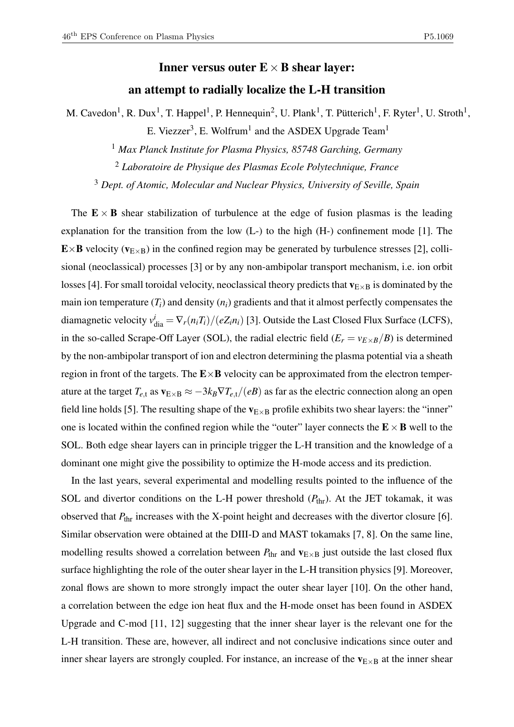## Inner versus outer  $E \times B$  shear layer:

## an attempt to radially localize the L-H transition

M. Cavedon<sup>1</sup>, R. Dux<sup>1</sup>, T. Happel<sup>1</sup>, P. Hennequin<sup>2</sup>, U. Plank<sup>1</sup>, T. Pütterich<sup>1</sup>, F. Ryter<sup>1</sup>, U. Stroth<sup>1</sup>, E. Viezzer<sup>3</sup>, E. Wolfrum<sup>1</sup> and the ASDEX Upgrade Team<sup>1</sup>

<sup>1</sup> *Max Planck Institute for Plasma Physics, 85748 Garching, Germany*

<sup>2</sup> *Laboratoire de Physique des Plasmas Ecole Polytechnique, France*

<sup>3</sup> *Dept. of Atomic, Molecular and Nuclear Physics, University of Seville, Spain*

The  $E \times B$  shear stabilization of turbulence at the edge of fusion plasmas is the leading explanation for the transition from the low (L-) to the high (H-) confinement mode [1]. The  $E \times B$  velocity ( $v_{E \times B}$ ) in the confined region may be generated by turbulence stresses [2], collisional (neoclassical) processes [3] or by any non-ambipolar transport mechanism, i.e. ion orbit losses [4]. For small toroidal velocity, neoclassical theory predicts that  $v_{E\times B}$  is dominated by the main ion temperature  $(T_i)$  and density  $(n_i)$  gradients and that it almost perfectly compensates the diamagnetic velocity  $v_{\text{dia}}^i = \nabla_r(n_i T_i)/(eZ_i n_i)$  [3]. Outside the Last Closed Flux Surface (LCFS), in the so-called Scrape-Off Layer (SOL), the radial electric field  $(E_r = v_{E \times B}/B)$  is determined by the non-ambipolar transport of ion and electron determining the plasma potential via a sheath region in front of the targets. The  $E \times B$  velocity can be approximated from the electron temperature at the target  $T_{e,t}$  as  $\mathbf{v}_{E\times B} \approx -3k_B\nabla T_{e,t}/(eB)$  as far as the electric connection along an open field line holds [5]. The resulting shape of the  $v_{E\times B}$  profile exhibits two shear layers: the "inner" one is located within the confined region while the "outer" layer connects the  $E \times B$  well to the SOL. Both edge shear layers can in principle trigger the L-H transition and the knowledge of a dominant one might give the possibility to optimize the H-mode access and its prediction.

In the last years, several experimental and modelling results pointed to the influence of the SOL and divertor conditions on the L-H power threshold  $(P_{thr})$ . At the JET tokamak, it was observed that  $P_{\text{thr}}$  increases with the X-point height and decreases with the divertor closure [6]. Similar observation were obtained at the DIII-D and MAST tokamaks [7, 8]. On the same line, modelling results showed a correlation between  $P_{\text{thr}}$  and  $\mathbf{v}_{\text{E} \times \text{B}}$  just outside the last closed flux surface highlighting the role of the outer shear layer in the L-H transition physics [9]. Moreover, zonal flows are shown to more strongly impact the outer shear layer [10]. On the other hand, a correlation between the edge ion heat flux and the H-mode onset has been found in ASDEX Upgrade and C-mod [11, 12] suggesting that the inner shear layer is the relevant one for the L-H transition. These are, however, all indirect and not conclusive indications since outer and inner shear layers are strongly coupled. For instance, an increase of the  $v_{E\times B}$  at the inner shear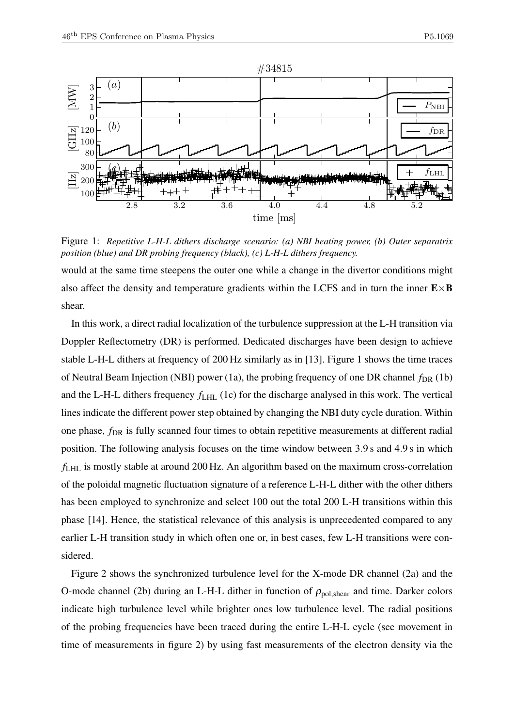

Figure 1: *Repetitive L-H-L dithers discharge scenario: (a) NBI heating power, (b) Outer separatrix position (blue) and DR probing frequency (black), (c) L-H-L dithers frequency.*

would at the same time steepens the outer one while a change in the divertor conditions might also affect the density and temperature gradients within the LCFS and in turn the inner  $E \times B$ shear.

In this work, a direct radial localization of the turbulence suppression at the L-H transition via Doppler Reflectometry (DR) is performed. Dedicated discharges have been design to achieve stable L-H-L dithers at frequency of 200 Hz similarly as in [13]. Figure 1 shows the time traces of Neutral Beam Injection (NBI) power (1a), the probing frequency of one DR channel  $f_{DR}$  (1b) and the L-H-L dithers frequency *f*LHL (1c) for the discharge analysed in this work. The vertical lines indicate the different power step obtained by changing the NBI duty cycle duration. Within one phase,  $f_{\text{DR}}$  is fully scanned four times to obtain repetitive measurements at different radial position. The following analysis focuses on the time window between 3.9 s and 4.9 s in which *f*LHL is mostly stable at around 200 Hz. An algorithm based on the maximum cross-correlation of the poloidal magnetic fluctuation signature of a reference L-H-L dither with the other dithers has been employed to synchronize and select 100 out the total 200 L-H transitions within this phase [14]. Hence, the statistical relevance of this analysis is unprecedented compared to any earlier L-H transition study in which often one or, in best cases, few L-H transitions were considered.

Figure 2 shows the synchronized turbulence level for the X-mode DR channel (2a) and the O-mode channel (2b) during an L-H-L dither in function of  $\rho_{pol,shear}$  and time. Darker colors indicate high turbulence level while brighter ones low turbulence level. The radial positions of the probing frequencies have been traced during the entire L-H-L cycle (see movement in time of measurements in figure 2) by using fast measurements of the electron density via the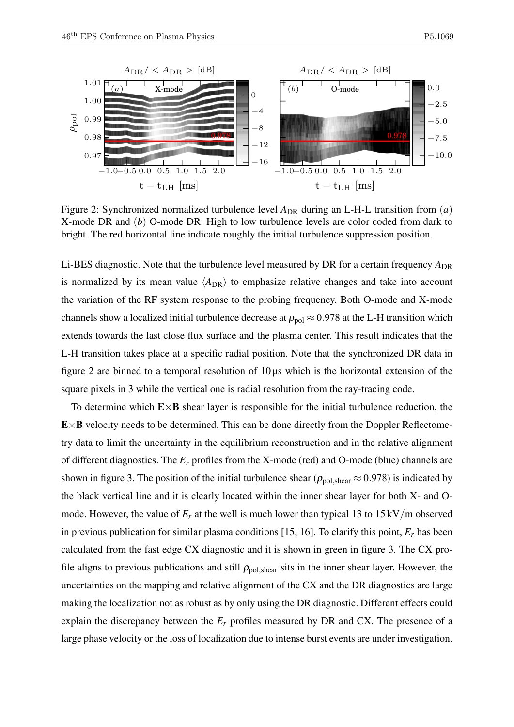

Figure 2: Synchronized normalized turbulence level  $A_{DR}$  during an L-H-L transition from (*a*) X-mode DR and (*b*) O-mode DR. High to low turbulence levels are color coded from dark to bright. The red horizontal line indicate roughly the initial turbulence suppression position.

Li-BES diagnostic. Note that the turbulence level measured by DR for a certain frequency  $A_{DR}$ is normalized by its mean value  $\langle A_{DR} \rangle$  to emphasize relative changes and take into account the variation of the RF system response to the probing frequency. Both O-mode and X-mode channels show a localized initial turbulence decrease at  $\rho_{pol} \approx 0.978$  at the L-H transition which extends towards the last close flux surface and the plasma center. This result indicates that the L-H transition takes place at a specific radial position. Note that the synchronized DR data in figure 2 are binned to a temporal resolution of  $10 \mu s$  which is the horizontal extension of the square pixels in 3 while the vertical one is radial resolution from the ray-tracing code.

To determine which  $E \times B$  shear layer is responsible for the initial turbulence reduction, the  $E \times B$  velocity needs to be determined. This can be done directly from the Doppler Reflectometry data to limit the uncertainty in the equilibrium reconstruction and in the relative alignment of different diagnostics. The *E<sup>r</sup>* profiles from the X-mode (red) and O-mode (blue) channels are shown in figure 3. The position of the initial turbulence shear ( $\rho_{pol,shear} \approx 0.978$ ) is indicated by the black vertical line and it is clearly located within the inner shear layer for both X- and Omode. However, the value of  $E_r$  at the well is much lower than typical 13 to  $15 \,\mathrm{kV/m}$  observed in previous publication for similar plasma conditions [15, 16]. To clarify this point, *E<sup>r</sup>* has been calculated from the fast edge CX diagnostic and it is shown in green in figure 3. The CX profile aligns to previous publications and still  $\rho_{\text{pol, shear}}$  sits in the inner shear layer. However, the uncertainties on the mapping and relative alignment of the CX and the DR diagnostics are large making the localization not as robust as by only using the DR diagnostic. Different effects could explain the discrepancy between the  $E_r$  profiles measured by DR and CX. The presence of a large phase velocity or the loss of localization due to intense burst events are under investigation.